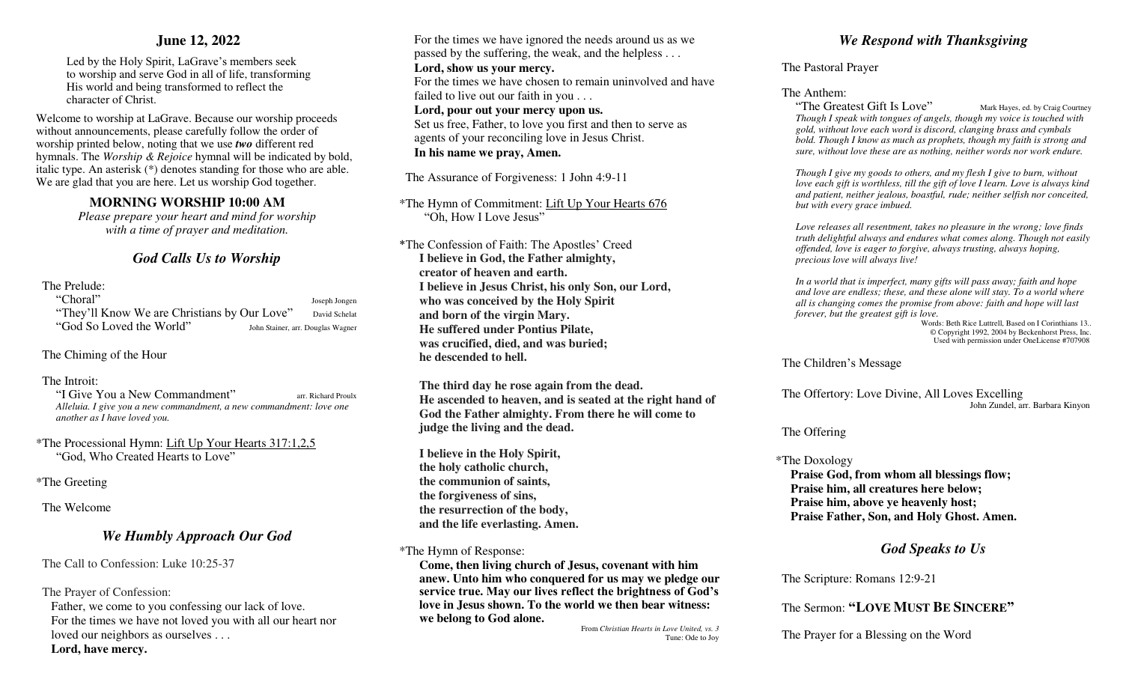## **June 12, 2022**

Led by the Holy Spirit, LaGrave's members seek to worship and serve God in all of life, transforming His world and being transformed to reflect the character of Christ.

Welcome to worship at LaGrave. Because our worship proceeds without announcements, please carefully follow the order of worship printed below, noting that we use *two* different red hymnals. The *Worship & Rejoice* hymnal will be indicated by bold, italic type. An asterisk (\*) denotes standing for those who are able. We are glad that you are here. Let us worship God together.

## **MORNING WORSHIP 10:00 AM**

*Please prepare your heart and mind for worship with a time of prayer and meditation.* 

## *God Calls Us to Worship*

## The Prelude:

"Choral" Joseph Jongen "They'll Know We are Christians by Our Love" David Schelat "God So Loved the World" John Stainer, arr. Douglas Wagner

The Chiming of the Hour

#### The Introit:

"I Give You a New Commandment" arr. Richard Proulx *Alleluia. I give you a new commandment, a new commandment: love one another as I have loved you.* 

\*The Processional Hymn: Lift Up Your Hearts 317:1,2,5 "God, Who Created Hearts to Love"

\*The Greeting

The Welcome

## *We Humbly Approach Our God*

The Call to Confession: Luke 10:25-37

The Prayer of Confession:

Father, we come to you confessing our lack of love. For the times we have not loved you with all our heart nor loved our neighbors as ourselves . . .

#### **Lord, have mercy.**

 For the times we have ignored the needs around us as we passed by the suffering, the weak, and the helpless . . .  **Lord, show us your mercy.**  For the times we have chosen to remain uninvolved and have failed to live out our faith in you . . .  **Lord, pour out your mercy upon us.** 

 Set us free, Father, to love you first and then to serve as agents of your reconciling love in Jesus Christ. **In his name we pray, Amen.**

The Assurance of Forgiveness: 1 John 4:9-11

\*The Hymn of Commitment: Lift Up Your Hearts 676 "Oh, How I Love Jesus"

\*The Confession of Faith: The Apostles' Creed **I believe in God, the Father almighty, creator of heaven and earth. I believe in Jesus Christ, his only Son, our Lord, who was conceived by the Holy Spirit and born of the virgin Mary. He suffered under Pontius Pilate, was crucified, died, and was buried; he descended to hell.** 

 **The third day he rose again from the dead. He ascended to heaven, and is seated at the right hand of God the Father almighty. From there he will come to judge the living and the dead.** 

 **I believe in the Holy Spirit, the holy catholic church, the communion of saints, the forgiveness of sins, the resurrection of the body, and the life everlasting. Amen.** 

#### \*The Hymn of Response:

**Come, then living church of Jesus, covenant with him anew. Unto him who conquered for us may we pledge our service true. May our lives reflect the brightness of God's love in Jesus shown. To the world we then bear witness: we belong to God alone.** 

From *Christian Hearts in Love United, vs. 3* Tune: Ode to Joy

# *We Respond with Thanksgiving*

#### The Pastoral Prayer

#### The Anthem:

"The Greatest Gift Is Love" Mark Hayes, ed. by Craig Courtney *Though I speak with tongues of angels, though my voice is touched with gold, without love each word is discord, clanging brass and cymbals bold. Though I know as much as prophets, though my faith is strong and sure, without love these are as nothing, neither words nor work endure.* 

 *Though I give my goods to others, and my flesh I give to burn, without love each gift is worthless, till the gift of love I learn. Love is always kind and patient, neither jealous, boastful, rude; neither selfish nor conceited, but with every grace imbued.* 

 *Love releases all resentment, takes no pleasure in the wrong; love finds truth delightful always and endures what comes along. Though not easily offended, love is eager to forgive, always trusting, always hoping, precious love will always live!* 

 *In a world that is imperfect, many gifts will pass away; faith and hope and love are endless; these, and these alone will stay. To a world where all is changing comes the promise from above: faith and hope will last forever, but the greatest gift is love.* 

Words: Beth Rice Luttrell, Based on I Corinthians 13.. © Copyright 1992, 2004 by Beckenhorst Press, Inc.Used with permission under OneLicense #707908

#### The Children's Message

 The Offertory: Love Divine, All Loves Excelling John Zundel, arr. Barbara Kinyon

#### The Offering

#### \*The Doxology

**Praise God, from whom all blessings flow; Praise him, all creatures here below; Praise him, above ye heavenly host; Praise Father, Son, and Holy Ghost. Amen.** 

# *God Speaks to Us*

The Scripture: Romans 12:9-21

## The Sermon: **"LOVE MUST BE SINCERE"**

The Prayer for a Blessing on the Word